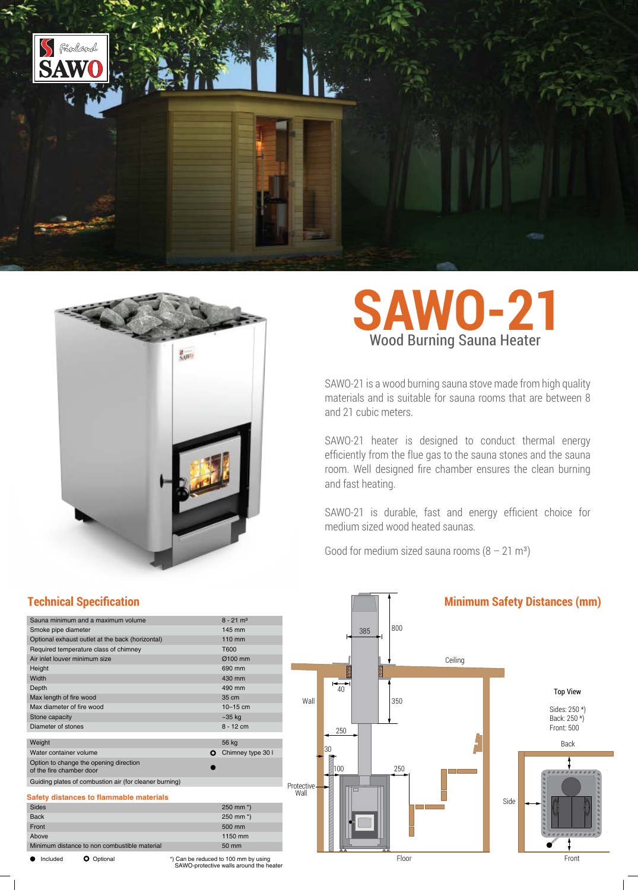



## **SAWO-21** Wood Burning Sauna Heater

SAWO-21 is a wood burning sauna stove made from high quality materials and is suitable for sauna rooms that are between 8 and 21 cubic meters.

SAWO-21 heater is designed to conduct thermal energy efficiently from the flue gas to the sauna stones and the sauna room. Well designed fire chamber ensures the clean burning and fast heating.

SAWO-21 is durable, fast and energy efficient choice for medium sized wood heated saunas.

Good for medium sized sauna rooms  $(8 - 21 \text{ m}^3)$